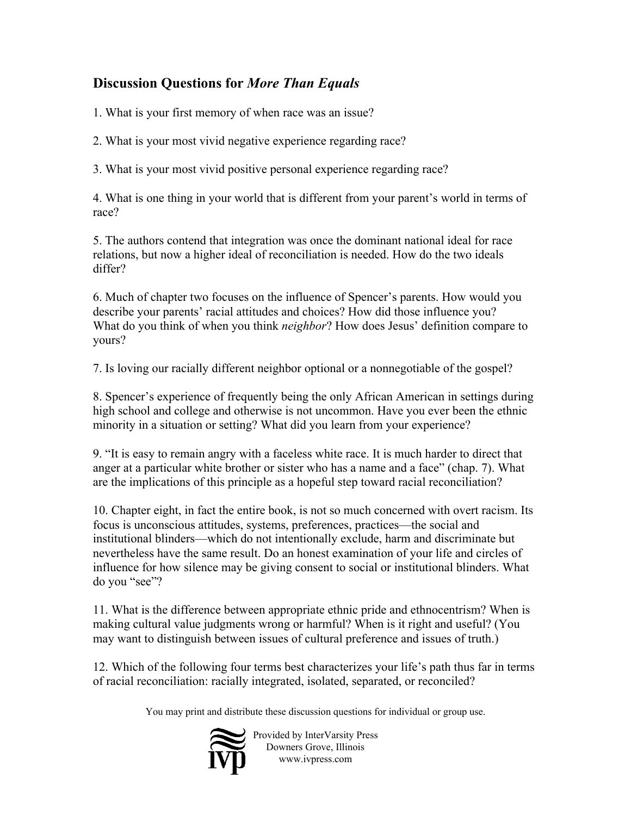## **Discussion Questions for** *More Than Equals*

1. What is your first memory of when race was an issue?

2. What is your most vivid negative experience regarding race?

3. What is your most vivid positive personal experience regarding race?

4. What is one thing in your world that is different from your parent's world in terms of race?

5. The authors contend that integration was once the dominant national ideal for race relations, but now a higher ideal of reconciliation is needed. How do the two ideals differ?

6. Much of chapter two focuses on the influence of Spencer's parents. How would you describe your parents' racial attitudes and choices? How did those influence you? What do you think of when you think *neighbor*? How does Jesus' definition compare to yours?

7. Is loving our racially different neighbor optional or a nonnegotiable of the gospel?

8. Spencer's experience of frequently being the only African American in settings during high school and college and otherwise is not uncommon. Have you ever been the ethnic minority in a situation or setting? What did you learn from your experience?

9. "It is easy to remain angry with a faceless white race. It is much harder to direct that anger at a particular white brother or sister who has a name and a face" (chap. 7). What are the implications of this principle as a hopeful step toward racial reconciliation?

10. Chapter eight, in fact the entire book, is not so much concerned with overt racism. Its focus is unconscious attitudes, systems, preferences, practices—the social and institutional blinders—which do not intentionally exclude, harm and discriminate but nevertheless have the same result. Do an honest examination of your life and circles of influence for how silence may be giving consent to social or institutional blinders. What do you "see"?

11. What is the difference between appropriate ethnic pride and ethnocentrism? When is making cultural value judgments wrong or harmful? When is it right and useful? (You may want to distinguish between issues of cultural preference and issues of truth.)

12. Which of the following four terms best characterizes your life's path thus far in terms of racial reconciliation: racially integrated, isolated, separated, or reconciled?

You may print and distribute these discussion questions for individual or group use.



Provided by InterVarsity Press Downers Grove, Illinois www.ivpress.com